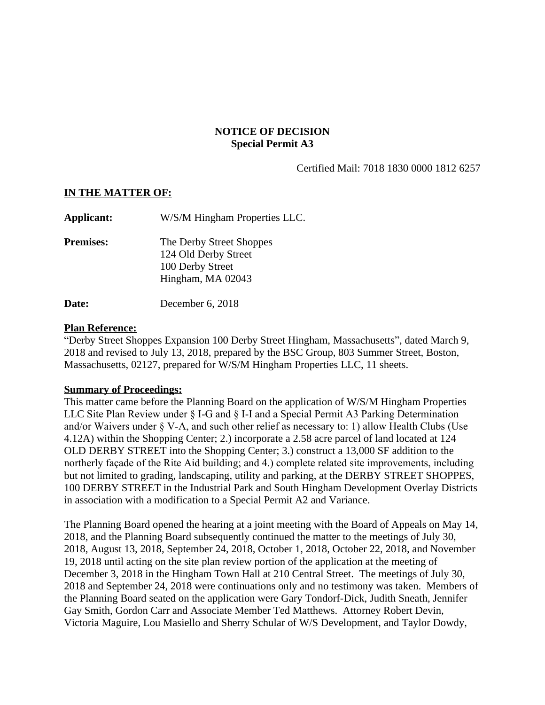# **NOTICE OF DECISION Special Permit A3**

Certified Mail: 7018 1830 0000 1812 6257

### **IN THE MATTER OF:**

| Applicant:       | W/S/M Hingham Properties LLC.                                                             |
|------------------|-------------------------------------------------------------------------------------------|
| <b>Premises:</b> | The Derby Street Shoppes<br>124 Old Derby Street<br>100 Derby Street<br>Hingham, MA 02043 |
| Date:            | December 6, 2018                                                                          |

#### **Plan Reference:**

"Derby Street Shoppes Expansion 100 Derby Street Hingham, Massachusetts", dated March 9, 2018 and revised to July 13, 2018, prepared by the BSC Group, 803 Summer Street, Boston, Massachusetts, 02127, prepared for W/S/M Hingham Properties LLC, 11 sheets.

### **Summary of Proceedings:**

This matter came before the Planning Board on the application of W/S/M Hingham Properties LLC Site Plan Review under § I-G and § I-I and a Special Permit A3 Parking Determination and/or Waivers under § V-A, and such other relief as necessary to: 1) allow Health Clubs (Use 4.12A) within the Shopping Center; 2.) incorporate a 2.58 acre parcel of land located at 124 OLD DERBY STREET into the Shopping Center; 3.) construct a 13,000 SF addition to the northerly façade of the Rite Aid building; and 4.) complete related site improvements, including but not limited to grading, landscaping, utility and parking, at the DERBY STREET SHOPPES, 100 DERBY STREET in the Industrial Park and South Hingham Development Overlay Districts in association with a modification to a Special Permit A2 and Variance.

The Planning Board opened the hearing at a joint meeting with the Board of Appeals on May 14, 2018, and the Planning Board subsequently continued the matter to the meetings of July 30, 2018, August 13, 2018, September 24, 2018, October 1, 2018, October 22, 2018, and November 19, 2018 until acting on the site plan review portion of the application at the meeting of December 3, 2018 in the Hingham Town Hall at 210 Central Street. The meetings of July 30, 2018 and September 24, 2018 were continuations only and no testimony was taken. Members of the Planning Board seated on the application were Gary Tondorf-Dick, Judith Sneath, Jennifer Gay Smith, Gordon Carr and Associate Member Ted Matthews. Attorney Robert Devin, Victoria Maguire, Lou Masiello and Sherry Schular of W/S Development, and Taylor Dowdy,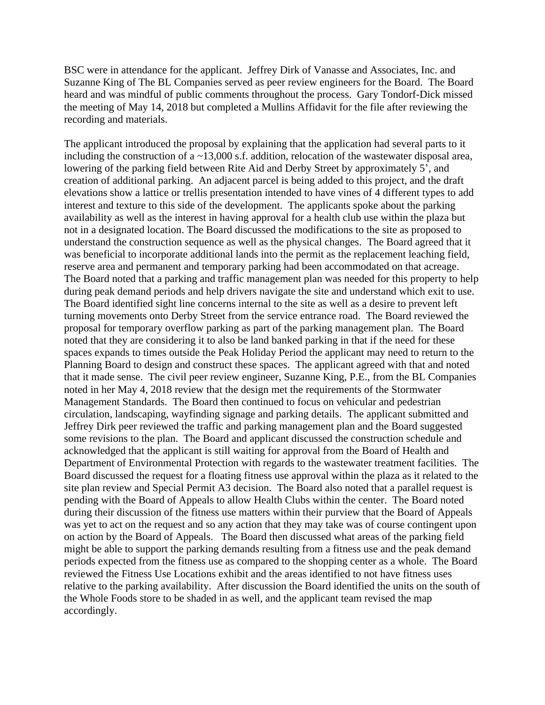BSC were in attendance for the applicant. Jeffrey Dirk of Vanasse and Associates, Inc. and Suzanne King of The BL Companies served as peer review engineers for the Board. The Board heard and was mindful of public comments throughout the process. Gary Tondorf-Dick missed the meeting of May 14, 2018 but completed a Mullins Affidavit for the file after reviewing the recording and materials.

The applicant introduced the proposal by explaining that the application had several parts to it including the construction of a ~13,000 s.f. addition, relocation of the wastewater disposal area, lowering of the parking field between Rite Aid and Derby Street by approximately 5', and creation of additional parking. An adjacent parcel is being added to this project, and the draft elevations show a lattice or trellis presentation intended to have vines of 4 different types to add interest and texture to this side of the development. The applicants spoke about the parking availability as well as the interest in having approval for a health club use within the plaza but not in a designated location. The Board discussed the modifications to the site as proposed to understand the construction sequence as well as the physical changes. The Board agreed that it was beneficial to incorporate additional lands into the permit as the replacement leaching field, reserve area and permanent and temporary parking had been accommodated on that acreage. The Board noted that a parking and traffic management plan was needed for this property to help during peak demand periods and help drivers navigate the site and understand which exit to use. The Board identified sight line concerns internal to the site as well as a desire to prevent left turning movements onto Derby Street from the service entrance road. The Board reviewed the proposal for temporary overflow parking as part of the parking management plan. The Board noted that they are considering it to also be land banked parking in that if the need for these spaces expands to times outside the Peak Holiday Period the applicant may need to return to the Planning Board to design and construct these spaces. The applicant agreed with that and noted that it made sense. The civil peer review engineer, Suzanne King, P.E., from the BL Companies noted in her May 4, 2018 review that the design met the requirements of the Stormwater Management Standards. The Board then continued to focus on vehicular and pedestrian circulation, landscaping, wayfinding signage and parking details. The applicant submitted and Jeffrey Dirk peer reviewed the traffic and parking management plan and the Board suggested some revisions to the plan. The Board and applicant discussed the construction schedule and acknowledged that the applicant is still waiting for approval from the Board of Health and Department of Environmental Protection with regards to the wastewater treatment facilities. The Board discussed the request for a floating fitness use approval within the plaza as it related to the site plan review and Special Permit A3 decision. The Board also noted that a parallel request is pending with the Board of Appeals to allow Health Clubs within the center. The Board noted during their discussion of the fitness use matters within their purview that the Board of Appeals was yet to act on the request and so any action that they may take was of course contingent upon on action by the Board of Appeals. The Board then discussed what areas of the parking field might be able to support the parking demands resulting from a fitness use and the peak demand periods expected from the fitness use as compared to the shopping center as a whole. The Board reviewed the Fitness Use Locations exhibit and the areas identified to not have fitness uses relative to the parking availability. After discussion the Board identified the units on the south of the Whole Foods store to be shaded in as well, and the applicant team revised the map accordingly.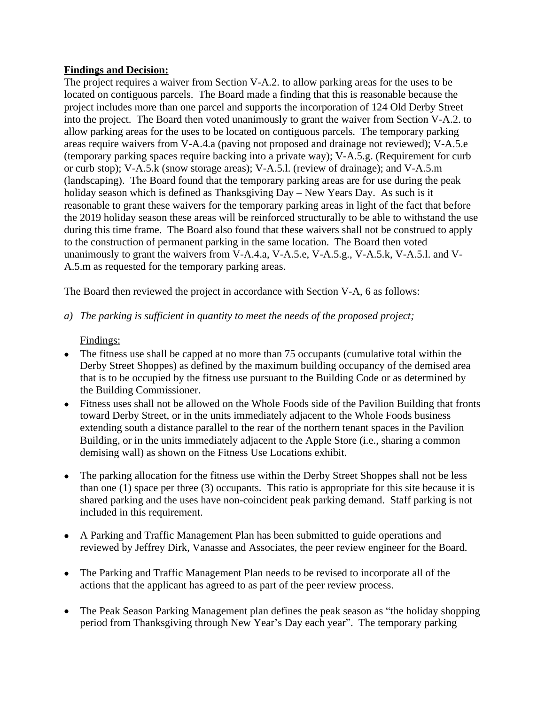## **Findings and Decision:**

The project requires a waiver from Section V-A.2. to allow parking areas for the uses to be located on contiguous parcels. The Board made a finding that this is reasonable because the project includes more than one parcel and supports the incorporation of 124 Old Derby Street into the project. The Board then voted unanimously to grant the waiver from Section V-A.2. to allow parking areas for the uses to be located on contiguous parcels. The temporary parking areas require waivers from V-A.4.a (paving not proposed and drainage not reviewed); V-A.5.e (temporary parking spaces require backing into a private way); V-A.5.g. (Requirement for curb or curb stop); V-A.5.k (snow storage areas); V-A.5.l. (review of drainage); and V-A.5.m (landscaping). The Board found that the temporary parking areas are for use during the peak holiday season which is defined as Thanksgiving Day – New Years Day. As such is it reasonable to grant these waivers for the temporary parking areas in light of the fact that before the 2019 holiday season these areas will be reinforced structurally to be able to withstand the use during this time frame. The Board also found that these waivers shall not be construed to apply to the construction of permanent parking in the same location. The Board then voted unanimously to grant the waivers from V-A.4.a, V-A.5.e, V-A.5.g., V-A.5.k, V-A.5.l. and V-A.5.m as requested for the temporary parking areas.

The Board then reviewed the project in accordance with Section V-A, 6 as follows:

*a) The parking is sufficient in quantity to meet the needs of the proposed project;*

# Findings:

- The fitness use shall be capped at no more than 75 occupants (cumulative total within the Derby Street Shoppes) as defined by the maximum building occupancy of the demised area that is to be occupied by the fitness use pursuant to the Building Code or as determined by the Building Commissioner.
- Fitness uses shall not be allowed on the Whole Foods side of the Pavilion Building that fronts toward Derby Street, or in the units immediately adjacent to the Whole Foods business extending south a distance parallel to the rear of the northern tenant spaces in the Pavilion Building, or in the units immediately adjacent to the Apple Store (i.e., sharing a common demising wall) as shown on the Fitness Use Locations exhibit.
- The parking allocation for the fitness use within the Derby Street Shoppes shall not be less than one (1) space per three (3) occupants. This ratio is appropriate for this site because it is shared parking and the uses have non-coincident peak parking demand. Staff parking is not included in this requirement.
- A Parking and Traffic Management Plan has been submitted to guide operations and reviewed by Jeffrey Dirk, Vanasse and Associates, the peer review engineer for the Board.
- The Parking and Traffic Management Plan needs to be revised to incorporate all of the actions that the applicant has agreed to as part of the peer review process.
- The Peak Season Parking Management plan defines the peak season as "the holiday shopping period from Thanksgiving through New Year's Day each year". The temporary parking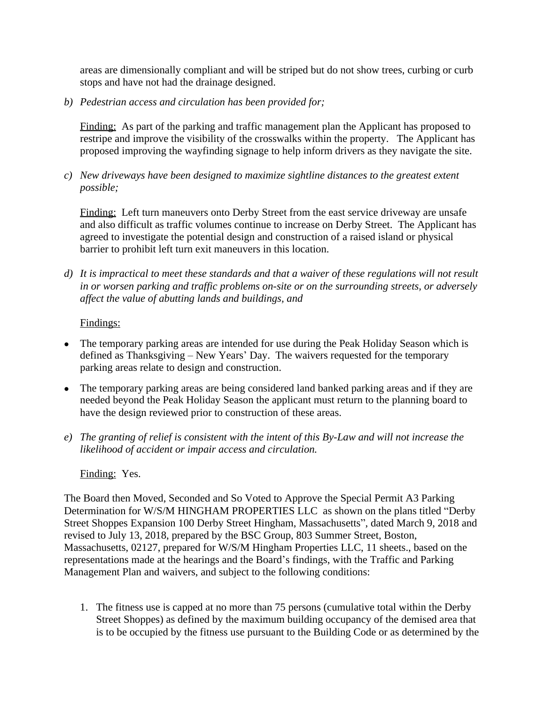areas are dimensionally compliant and will be striped but do not show trees, curbing or curb stops and have not had the drainage designed.

*b) Pedestrian access and circulation has been provided for;*

Finding: As part of the parking and traffic management plan the Applicant has proposed to restripe and improve the visibility of the crosswalks within the property. The Applicant has proposed improving the wayfinding signage to help inform drivers as they navigate the site.

*c) New driveways have been designed to maximize sightline distances to the greatest extent possible;*

Finding: Left turn maneuvers onto Derby Street from the east service driveway are unsafe and also difficult as traffic volumes continue to increase on Derby Street. The Applicant has agreed to investigate the potential design and construction of a raised island or physical barrier to prohibit left turn exit maneuvers in this location.

*d) It is impractical to meet these standards and that a waiver of these regulations will not result in or worsen parking and traffic problems on-site or on the surrounding streets, or adversely affect the value of abutting lands and buildings, and*

# Findings:

- The temporary parking areas are intended for use during the Peak Holiday Season which is defined as Thanksgiving – New Years' Day. The waivers requested for the temporary parking areas relate to design and construction.
- The temporary parking areas are being considered land banked parking areas and if they are needed beyond the Peak Holiday Season the applicant must return to the planning board to have the design reviewed prior to construction of these areas.
- *e) The granting of relief is consistent with the intent of this By-Law and will not increase the likelihood of accident or impair access and circulation.*

### Finding: Yes.

The Board then Moved, Seconded and So Voted to Approve the Special Permit A3 Parking Determination for W/S/M HINGHAM PROPERTIES LLC as shown on the plans titled "Derby Street Shoppes Expansion 100 Derby Street Hingham, Massachusetts", dated March 9, 2018 and revised to July 13, 2018, prepared by the BSC Group, 803 Summer Street, Boston, Massachusetts, 02127, prepared for W/S/M Hingham Properties LLC, 11 sheets., based on the representations made at the hearings and the Board's findings, with the Traffic and Parking Management Plan and waivers, and subject to the following conditions:

1. The fitness use is capped at no more than 75 persons (cumulative total within the Derby Street Shoppes) as defined by the maximum building occupancy of the demised area that is to be occupied by the fitness use pursuant to the Building Code or as determined by the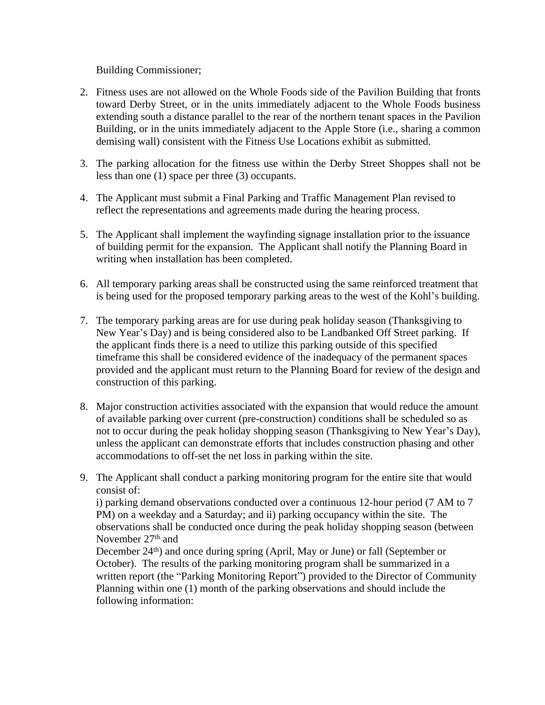Building Commissioner;

- 2. Fitness uses are not allowed on the Whole Foods side of the Pavilion Building that fronts toward Derby Street, or in the units immediately adjacent to the Whole Foods business extending south a distance parallel to the rear of the northern tenant spaces in the Pavilion Building, or in the units immediately adjacent to the Apple Store (i.e., sharing a common demising wall) consistent with the Fitness Use Locations exhibit as submitted.
- 3. The parking allocation for the fitness use within the Derby Street Shoppes shall not be less than one (1) space per three (3) occupants.
- 4. The Applicant must submit a Final Parking and Traffic Management Plan revised to reflect the representations and agreements made during the hearing process.
- 5. The Applicant shall implement the wayfinding signage installation prior to the issuance of building permit for the expansion. The Applicant shall notify the Planning Board in writing when installation has been completed.
- 6. All temporary parking areas shall be constructed using the same reinforced treatment that is being used for the proposed temporary parking areas to the west of the Kohl's building.
- 7. The temporary parking areas are for use during peak holiday season (Thanksgiving to New Year's Day) and is being considered also to be Landbanked Off Street parking. If the applicant finds there is a need to utilize this parking outside of this specified timeframe this shall be considered evidence of the inadequacy of the permanent spaces provided and the applicant must return to the Planning Board for review of the design and construction of this parking.
- 8. Major construction activities associated with the expansion that would reduce the amount of available parking over current (pre-construction) conditions shall be scheduled so as not to occur during the peak holiday shopping season (Thanksgiving to New Year's Day), unless the applicant can demonstrate efforts that includes construction phasing and other accommodations to off-set the net loss in parking within the site.
- 9. The Applicant shall conduct a parking monitoring program for the entire site that would consist of:

i) parking demand observations conducted over a continuous 12-hour period (7 AM to 7 PM) on a weekday and a Saturday; and ii) parking occupancy within the site. The observations shall be conducted once during the peak holiday shopping season (between November 27<sup>th</sup> and

December 24<sup>th</sup>) and once during spring (April, May or June) or fall (September or October). The results of the parking monitoring program shall be summarized in a written report (the "Parking Monitoring Report") provided to the Director of Community Planning within one (1) month of the parking observations and should include the following information: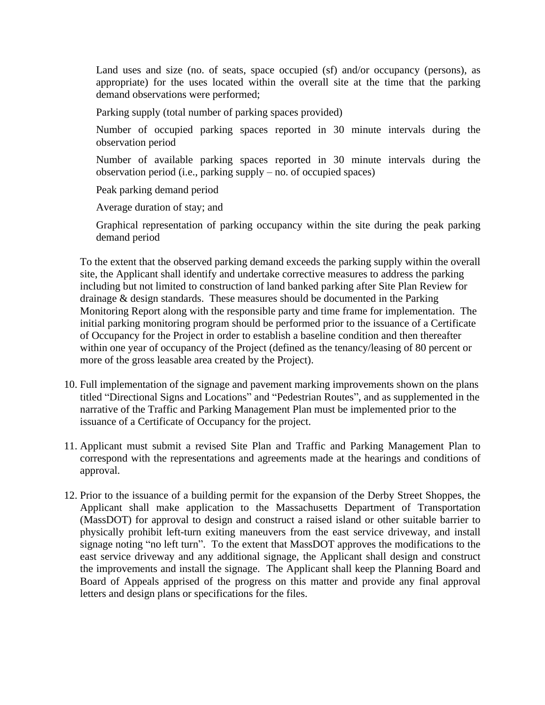Land uses and size (no. of seats, space occupied (sf) and/or occupancy (persons), as appropriate) for the uses located within the overall site at the time that the parking demand observations were performed;

Parking supply (total number of parking spaces provided)

Number of occupied parking spaces reported in 30 minute intervals during the observation period

Number of available parking spaces reported in 30 minute intervals during the observation period (i.e., parking supply – no. of occupied spaces)

Peak parking demand period

Average duration of stay; and

Graphical representation of parking occupancy within the site during the peak parking demand period

To the extent that the observed parking demand exceeds the parking supply within the overall site, the Applicant shall identify and undertake corrective measures to address the parking including but not limited to construction of land banked parking after Site Plan Review for drainage & design standards. These measures should be documented in the Parking Monitoring Report along with the responsible party and time frame for implementation. The initial parking monitoring program should be performed prior to the issuance of a Certificate of Occupancy for the Project in order to establish a baseline condition and then thereafter within one year of occupancy of the Project (defined as the tenancy/leasing of 80 percent or more of the gross leasable area created by the Project).

- 10. Full implementation of the signage and pavement marking improvements shown on the plans titled "Directional Signs and Locations" and "Pedestrian Routes", and as supplemented in the narrative of the Traffic and Parking Management Plan must be implemented prior to the issuance of a Certificate of Occupancy for the project.
- 11. Applicant must submit a revised Site Plan and Traffic and Parking Management Plan to correspond with the representations and agreements made at the hearings and conditions of approval.
- 12. Prior to the issuance of a building permit for the expansion of the Derby Street Shoppes, the Applicant shall make application to the Massachusetts Department of Transportation (MassDOT) for approval to design and construct a raised island or other suitable barrier to physically prohibit left-turn exiting maneuvers from the east service driveway, and install signage noting "no left turn". To the extent that MassDOT approves the modifications to the east service driveway and any additional signage, the Applicant shall design and construct the improvements and install the signage. The Applicant shall keep the Planning Board and Board of Appeals apprised of the progress on this matter and provide any final approval letters and design plans or specifications for the files.